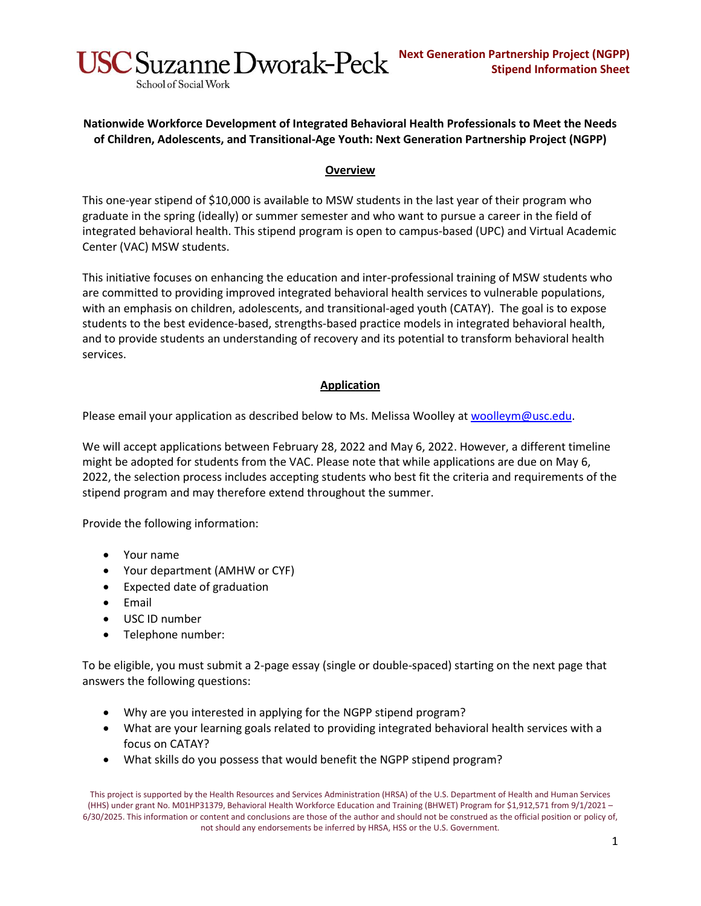**Nationwide Workforce Development of Integrated Behavioral Health Professionals to Meet the Needs of Children, Adolescents, and Transitional-Age Youth: Next Generation Partnership Project (NGPP)**

## **Overview**

This one-year stipend of \$10,000 is available to MSW students in the last year of their program who graduate in the spring (ideally) or summer semester and who want to pursue a career in the field of integrated behavioral health. This stipend program is open to campus-based (UPC) and Virtual Academic Center (VAC) MSW students.

This initiative focuses on enhancing the education and inter-professional training of MSW students who are committed to providing improved integrated behavioral health services to vulnerable populations, with an emphasis on children, adolescents, and transitional-aged youth (CATAY). The goal is to expose students to the best evidence-based, strengths-based practice models in integrated behavioral health, and to provide students an understanding of recovery and its potential to transform behavioral health services.

## **Application**

Please email your application as described below to Ms. Melissa Woolley at [woolleym@usc.edu.](mailto:woolleym@usc.edu)

We will accept applications between February 28, 2022 and May 6, 2022. However, a different timeline might be adopted for students from the VAC. Please note that while applications are due on May 6, 2022, the selection process includes accepting students who best fit the criteria and requirements of the stipend program and may therefore extend throughout the summer.

Provide the following information:

School of Social Work

- Your name
- Your department (AMHW or CYF)
- Expected date of graduation
- Email
- USC ID number
- Telephone number:

To be eligible, you must submit a 2-page essay (single or double-spaced) starting on the next page that answers the following questions:

- Why are you interested in applying for the NGPP stipend program?
- What are your learning goals related to providing integrated behavioral health services with a focus on CATAY?
- What skills do you possess that would benefit the NGPP stipend program?

This project is supported by the Health Resources and Services Administration (HRSA) of the U.S. Department of Health and Human Services (HHS) under grant No. M01HP31379, Behavioral Health Workforce Education and Training (BHWET) Program for \$1,912,571 from 9/1/2021 – 6/30/2025. This information or content and conclusions are those of the author and should not be construed as the official position or policy of, not should any endorsements be inferred by HRSA, HSS or the U.S. Government.